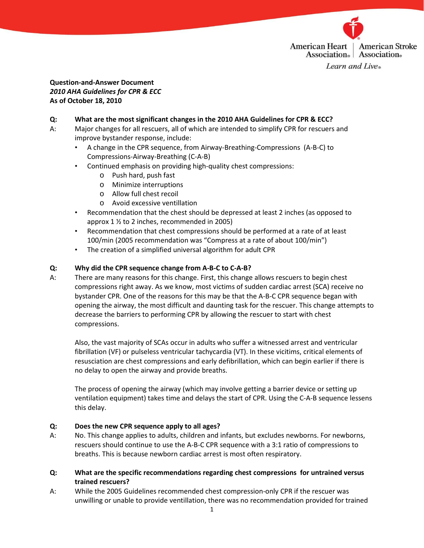

## Question-and-Answer Document 2010 AHA Guidelines for CPR & ECC As of October 18, 2010

### Q: What are the most significant changes in the 2010 AHA Guidelines for CPR & ECC?

- A: Major changes for all rescuers, all of which are intended to simplify CPR for rescuers and improve bystander response, include:
	- A change in the CPR sequence, from Airway-Breathing-Compressions (A-B-C) to Compressions-Airway-Breathing (C-A-B)
	- Continued emphasis on providing high-quality chest compressions:
		- o Push hard, push fast
		- o Minimize interruptions
		- o Allow full chest recoil
		- o Avoid excessive ventillation
	- Recommendation that the chest should be depressed at least 2 inches (as opposed to approx 1 ½ to 2 inches, recommended in 2005)
	- Recommendation that chest compressions should be performed at a rate of at least 100/min (2005 recommendation was "Compress at a rate of about 100/min")
	- The creation of a simplified universal algorithm for adult CPR

### Q: Why did the CPR sequence change from A-B-C to C-A-B?

A: There are many reasons for this change. First, this change allows rescuers to begin chest compressions right away. As we know, most victims of sudden cardiac arrest (SCA) receive no bystander CPR. One of the reasons for this may be that the A-B-C CPR sequence began with opening the airway, the most difficult and daunting task for the rescuer. This change attempts to decrease the barriers to performing CPR by allowing the rescuer to start with chest compressions.

Also, the vast majority of SCAs occur in adults who suffer a witnessed arrest and ventricular fibrillation (VF) or pulseless ventricular tachycardia (VT). In these vicitims, critical elements of resusciation are chest compressions and early defibrillation, which can begin earlier if there is no delay to open the airway and provide breaths.

The process of opening the airway (which may involve getting a barrier device or setting up ventilation equipment) takes time and delays the start of CPR. Using the C-A-B sequence lessens this delay.

#### Q: Does the new CPR sequence apply to all ages?

- A: No. This change applies to adults, children and infants, but excludes newborns. For newborns, rescuers should continue to use the A-B-C CPR sequence with a 3:1 ratio of compressions to breaths. This is because newborn cardiac arrest is most often respiratory.
- Q: What are the specific recommendations regarding chest compressions for untrained versus trained rescuers?
- A: While the 2005 Guidelines recommended chest compression-only CPR if the rescuer was unwilling or unable to provide ventillation, there was no recommendation provided for trained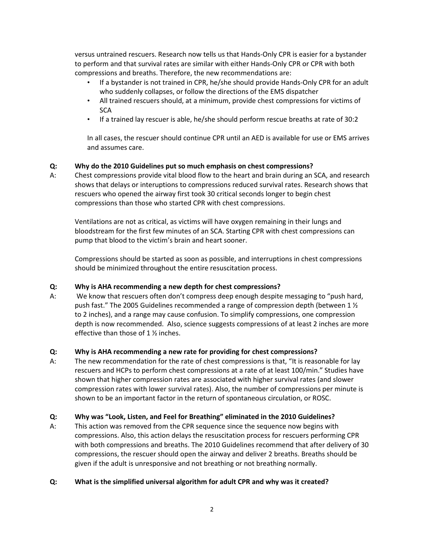versus untrained rescuers. Research now tells us that Hands-Only CPR is easier for a bystander to perform and that survival rates are similar with either Hands-Only CPR or CPR with both compressions and breaths. Therefore, the new recommendations are:

- If a bystander is not trained in CPR, he/she should provide Hands-Only CPR for an adult who suddenly collapses, or follow the directions of the EMS dispatcher
- All trained rescuers should, at a minimum, provide chest compressions for victims of **SCA**
- If a trained lay rescuer is able, he/she should perform rescue breaths at rate of 30:2

In all cases, the rescuer should continue CPR until an AED is available for use or EMS arrives and assumes care.

# Q: Why do the 2010 Guidelines put so much emphasis on chest compressions?

A: Chest compressions provide vital blood flow to the heart and brain during an SCA, and research shows that delays or interuptions to compressions reduced survival rates. Research shows that rescuers who opened the airway first took 30 critical seconds longer to begin chest compressions than those who started CPR with chest compressions.

Ventilations are not as critical, as victims will have oxygen remaining in their lungs and bloodstream for the first few minutes of an SCA. Starting CPR with chest compressions can pump that blood to the victim's brain and heart sooner.

Compressions should be started as soon as possible, and interruptions in chest compressions should be minimized throughout the entire resuscitation process.

# Q: Why is AHA recommending a new depth for chest compressions?

A: We know that rescuers often don't compress deep enough despite messaging to "push hard, push fast." The 2005 Guidelines recommended a range of compression depth (between 1 ½ to 2 inches), and a range may cause confusion. To simplify compressions, one compression depth is now recommended. Also, science suggests compressions of at least 2 inches are more effective than those of 1 ½ inches.

# Q: Why is AHA recommending a new rate for providing for chest compressions?

A: The new recommendation for the rate of chest compressions is that, "It is reasonable for lay rescuers and HCPs to perform chest compressions at a rate of at least 100/min." Studies have shown that higher compression rates are associated with higher survival rates (and slower compression rates with lower survival rates). Also, the number of compressions per minute is shown to be an important factor in the return of spontaneous circulation, or ROSC.

# Q: Why was "Look, Listen, and Feel for Breathing" eliminated in the 2010 Guidelines?

A: This action was removed from the CPR sequence since the sequence now begins with compressions. Also, this action delays the resuscitation process for rescuers performing CPR with both compressions and breaths. The 2010 Guidelines recommend that after delivery of 30 compressions, the rescuer should open the airway and deliver 2 breaths. Breaths should be given if the adult is unresponsive and not breathing or not breathing normally.

# Q: What is the simplified universal algorithm for adult CPR and why was it created?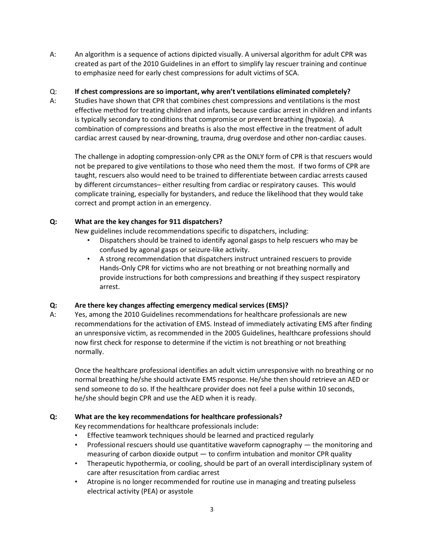A: An algorithm is a sequence of actions dipicted visually. A universal algorithm for adult CPR was created as part of the 2010 Guidelines in an effort to simplify lay rescuer training and continue to emphasize need for early chest compressions for adult victims of SCA.

### Q: If chest compressions are so important, why aren't ventilations eliminated completely?

A: Studies have shown that CPR that combines chest compressions and ventilations is the most effective method for treating children and infants, because cardiac arrest in children and infants is typically secondary to conditions that compromise or prevent breathing (hypoxia). A combination of compressions and breaths is also the most effective in the treatment of adult cardiac arrest caused by near-drowning, trauma, drug overdose and other non-cardiac causes.

The challenge in adopting compression-only CPR as the ONLY form of CPR is that rescuers would not be prepared to give ventilations to those who need them the most. If two forms of CPR are taught, rescuers also would need to be trained to differentiate between cardiac arrests caused by different circumstances– either resulting from cardiac or respiratory causes. This would complicate training, especially for bystanders, and reduce the likelihood that they would take correct and prompt action in an emergency.

### Q: What are the key changes for 911 dispatchers?

New guidelines include recommendations specific to dispatchers, including:

- Dispatchers should be trained to identify agonal gasps to help rescuers who may be confused by agonal gasps or seizure-like activity.
- A strong recommendation that dispatchers instruct untrained rescuers to provide Hands-Only CPR for victims who are not breathing or not breathing normally and provide instructions for both compressions and breathing if they suspect respiratory arrest.

# Q: Are there key changes affecting emergency medical services (EMS)?

A: Yes, among the 2010 Guidelines recommendations for healthcare professionals are new recommendations for the activation of EMS. Instead of immediately activating EMS after finding an unresponsive victim, as recommended in the 2005 Guidelines, healthcare professions should now first check for response to determine if the victim is not breathing or not breathing normally.

Once the healthcare professional identifies an adult victim unresponsive with no breathing or no normal breathing he/she should activate EMS response. He/she then should retrieve an AED or send someone to do so. If the healthcare provider does not feel a pulse within 10 seconds, he/she should begin CPR and use the AED when it is ready.

# Q: What are the key recommendations for healthcare professionals?

Key recommendations for healthcare professionals include:

- Effective teamwork techniques should be learned and practiced regularly
- Professional rescuers should use quantitative waveform capnography the monitoring and measuring of carbon dioxide output  $-$  to confirm intubation and monitor CPR quality
- Therapeutic hypothermia, or cooling, should be part of an overall interdisciplinary system of care after resuscitation from cardiac arrest
- Atropine is no longer recommended for routine use in managing and treating pulseless electrical activity (PEA) or asystole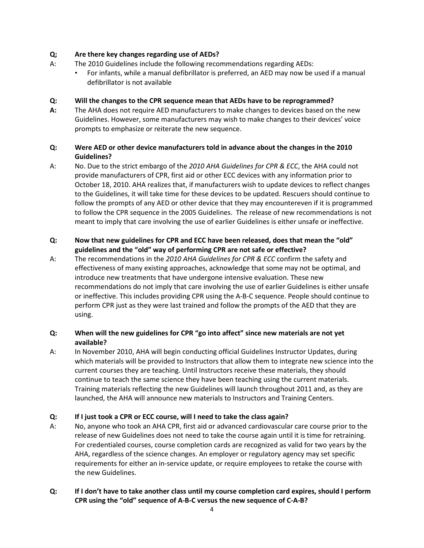## Q; Are there key changes regarding use of AEDs?

- A: The 2010 Guidelines include the following recommendations regarding AEDs:
	- For infants, while a manual defibrillator is preferred, an AED may now be used if a manual defibrillator is not available

## Q: Will the changes to the CPR sequence mean that AEDs have to be reprogrammed?

A: The AHA does not require AED manufacturers to make changes to devices based on the new Guidelines. However, some manufacturers may wish to make changes to their devices' voice prompts to emphasize or reiterate the new sequence.

## Q: Were AED or other device manufacturers told in advance about the changes in the 2010 Guidelines?

A: No. Due to the strict embargo of the 2010 AHA Guidelines for CPR & ECC, the AHA could not provide manufacturers of CPR, first aid or other ECC devices with any information prior to October 18, 2010. AHA realizes that, if manufacturers wish to update devices to reflect changes to the Guidelines, it will take time for these devices to be updated. Rescuers should continue to follow the prompts of any AED or other device that they may encountereven if it is programmed to follow the CPR sequence in the 2005 Guidelines. The release of new recommendations is not meant to imply that care involving the use of earlier Guidelines is either unsafe or ineffective.

## Q: Now that new guidelines for CPR and ECC have been released, does that mean the "old" guidelines and the "old" way of performing CPR are not safe or effective?

A: The recommendations in the 2010 AHA Guidelines for CPR & ECC confirm the safety and effectiveness of many existing approaches, acknowledge that some may not be optimal, and introduce new treatments that have undergone intensive evaluation. These new recommendations do not imply that care involving the use of earlier Guidelines is either unsafe or ineffective. This includes providing CPR using the A-B-C sequence. People should continue to perform CPR just as they were last trained and follow the prompts of the AED that they are using.

# Q: When will the new guidelines for CPR "go into affect" since new materials are not yet available?

A: In November 2010, AHA will begin conducting official Guidelines Instructor Updates, during which materials will be provided to Instructors that allow them to integrate new science into the current courses they are teaching. Until Instructors receive these materials, they should continue to teach the same science they have been teaching using the current materials. Training materials reflecting the new Guidelines will launch throughout 2011 and, as they are launched, the AHA will announce new materials to Instructors and Training Centers.

# Q: If I just took a CPR or ECC course, will I need to take the class again?

A: No, anyone who took an AHA CPR, first aid or advanced cardiovascular care course prior to the release of new Guidelines does not need to take the course again until it is time for retraining. For credentialed courses, course completion cards are recognized as valid for two years by the AHA, regardless of the science changes. An employer or regulatory agency may set specific requirements for either an in-service update, or require employees to retake the course with the new Guidelines.

# Q: If I don't have to take another class until my course completion card expires, should I perform CPR using the "old" sequence of A-B-C versus the new sequence of C-A-B?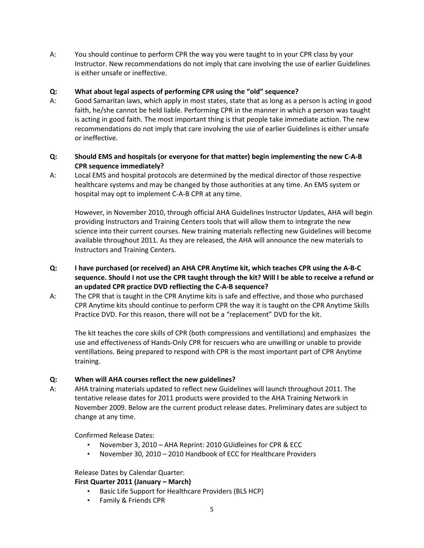A: You should continue to perform CPR the way you were taught to in your CPR class by your Instructor. New recommendations do not imply that care involving the use of earlier Guidelines is either unsafe or ineffective.

### Q: What about legal aspects of performing CPR using the "old" sequence?

A: Good Samaritan laws, which apply in most states, state that as long as a person is acting in good faith, he/she cannot be held liable. Performing CPR in the manner in which a person was taught is acting in good faith. The most important thing is that people take immediate action. The new recommendations do not imply that care involving the use of earlier Guidelines is either unsafe or ineffective.

## Q: Should EMS and hospitals (or everyone for that matter) begin implementing the new C-A-B CPR sequence immediately?

A: Local EMS and hospital protocols are determined by the medical director of those respective healthcare systems and may be changed by those authorities at any time. An EMS system or hospital may opt to implement C-A-B CPR at any time.

However, in November 2010, through official AHA Guidelines Instructor Updates, AHA will begin providing Instructors and Training Centers tools that will allow them to integrate the new science into their current courses. New training materials reflecting new Guidelines will become available throughout 2011. As they are released, the AHA will announce the new materials to Instructors and Training Centers.

- Q: I have purchased (or received) an AHA CPR Anytime kit, which teaches CPR using the A-B-C sequence. Should I not use the CPR taught through the kit? Will I be able to receive a refund or an updated CPR practice DVD refliecting the C-A-B sequence?
- A: The CPR that is taught in the CPR Anytime kits is safe and effective, and those who purchased CPR Anytime kits should continue to perform CPR the way it is taught on the CPR Anytime Skills Practice DVD. For this reason, there will not be a "replacement" DVD for the kit.

The kit teaches the core skills of CPR (both compressions and ventillations) and emphasizes the use and effectiveness of Hands-Only CPR for rescuers who are unwilling or unable to provide ventillations. Being prepared to respond with CPR is the most important part of CPR Anytime training.

#### Q: When will AHA courses reflect the new guidelines?

A: AHA training materials updated to reflect new Guidelines will launch throughout 2011. The tentative release dates for 2011 products were provided to the AHA Training Network in November 2009. Below are the current product release dates. Preliminary dates are subject to change at any time.

Confirmed Release Dates:

- November 3, 2010 AHA Reprint: 2010 GUidleines for CPR & ECC
- November 30, 2010 2010 Handbook of ECC for Healthcare Providers

#### Release Dates by Calendar Quarter:

# First Quarter 2011 (January – March)

- Basic Life Support for Healthcare Providers (BLS HCP)
- Family & Friends CPR